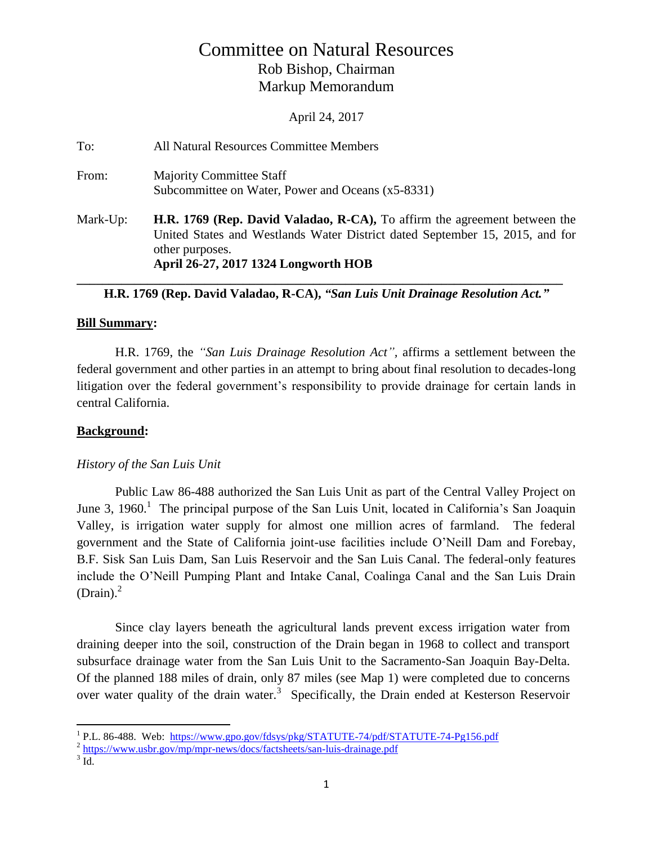# Committee on Natural Resources Rob Bishop, Chairman Markup Memorandum

April 24, 2017

| To:      | All Natural Resources Committee Members                                                                                                                                                                                     |
|----------|-----------------------------------------------------------------------------------------------------------------------------------------------------------------------------------------------------------------------------|
| From:    | <b>Majority Committee Staff</b><br>Subcommittee on Water, Power and Oceans (x5-8331)                                                                                                                                        |
| Mark-Up: | <b>H.R. 1769 (Rep. David Valadao, R-CA),</b> To affirm the agreement between the<br>United States and Westlands Water District dated September 15, 2015, and for<br>other purposes.<br>April 26-27, 2017 1324 Longworth HOB |

### **\_\_\_\_\_\_\_\_\_\_\_\_\_\_\_\_\_\_\_\_\_\_\_\_\_\_\_\_\_\_\_\_\_\_\_\_\_\_\_\_\_\_\_\_\_\_\_\_\_\_\_\_\_\_\_\_\_\_\_\_\_\_\_\_\_\_\_\_\_\_\_\_\_\_\_\_ H.R. 1769 (Rep. David Valadao, R-CA),** *"San Luis Unit Drainage Resolution Act."*

## **Bill Summary:**

H.R. 1769, the *"San Luis Drainage Resolution Act",* affirms a settlement between the federal government and other parties in an attempt to bring about final resolution to decades-long litigation over the federal government's responsibility to provide drainage for certain lands in central California.

## **Background:**

## *History of the San Luis Unit*

Public Law 86-488 authorized the San Luis Unit as part of the Central Valley Project on June 3, 1960.<sup>1</sup> The principal purpose of the San Luis Unit, located in California's San Joaquin Valley, is irrigation water supply for almost one million acres of farmland. The federal government and the State of California joint-use facilities include O'Neill Dam and Forebay, B.F. Sisk San Luis Dam, San Luis Reservoir and the San Luis Canal. The federal-only features include the O'Neill Pumping Plant and Intake Canal, Coalinga Canal and the San Luis Drain  $(Drain).<sup>2</sup>$ 

Since clay layers beneath the agricultural lands prevent excess irrigation water from draining deeper into the soil, construction of the Drain began in 1968 to collect and transport subsurface drainage water from the San Luis Unit to the Sacramento-San Joaquin Bay-Delta. Of the planned 188 miles of drain, only 87 miles (see Map 1) were completed due to concerns over water quality of the drain water.<sup>3</sup> Specifically, the Drain ended at Kesterson Reservoir

<sup>&</sup>lt;sup>1</sup> P.L. 86-488. Web:<https://www.gpo.gov/fdsys/pkg/STATUTE-74/pdf/STATUTE-74-Pg156.pdf>

<sup>&</sup>lt;sup>2</sup> <https://www.usbr.gov/mp/mpr-news/docs/factsheets/san-luis-drainage.pdf>

 $3$  Id.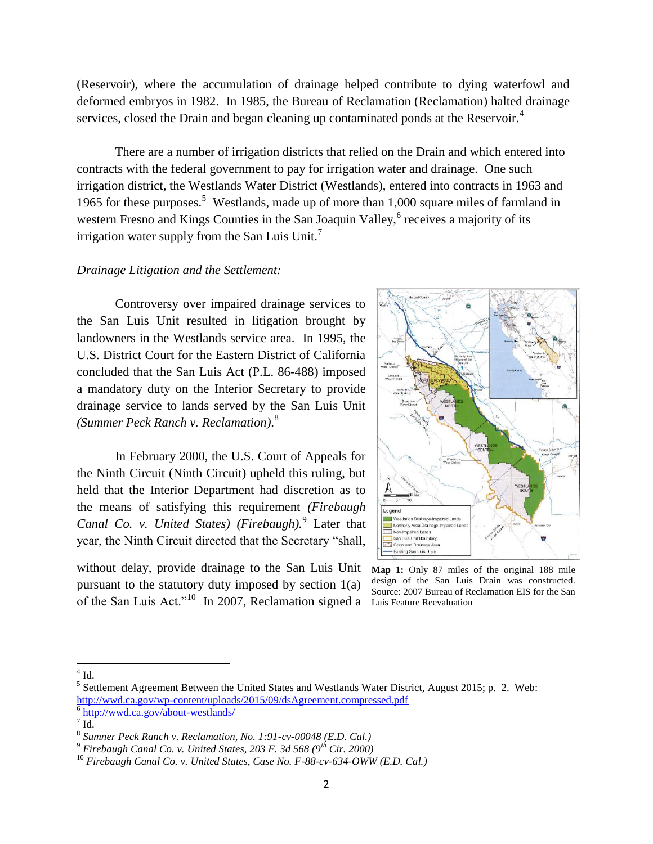(Reservoir), where the accumulation of drainage helped contribute to dying waterfowl and deformed embryos in 1982. In 1985, the Bureau of Reclamation (Reclamation) halted drainage services, closed the Drain and began cleaning up contaminated ponds at the Reservoir.<sup>4</sup>

There are a number of irrigation districts that relied on the Drain and which entered into contracts with the federal government to pay for irrigation water and drainage. One such irrigation district, the Westlands Water District (Westlands), entered into contracts in 1963 and 1965 for these purposes.<sup>5</sup> Westlands, made up of more than 1,000 square miles of farmland in western Fresno and Kings Counties in the San Joaquin Valley, <sup>6</sup> receives a majority of its irrigation water supply from the San Luis Unit.<sup>7</sup>

#### *Drainage Litigation and the Settlement:*

Controversy over impaired drainage services to the San Luis Unit resulted in litigation brought by landowners in the Westlands service area. In 1995, the U.S. District Court for the Eastern District of California concluded that the San Luis Act (P.L. 86-488) imposed a mandatory duty on the Interior Secretary to provide drainage service to lands served by the San Luis Unit *(Summer Peck Ranch v. Reclamation)*. 8

In February 2000, the U.S. Court of Appeals for the Ninth Circuit (Ninth Circuit) upheld this ruling, but held that the Interior Department had discretion as to the means of satisfying this requirement *(Firebaugh*  Canal Co. v. United States) (Firebaugh).<sup>9</sup> Later that year, the Ninth Circuit directed that the Secretary "shall,

without delay, provide drainage to the San Luis Unit pursuant to the statutory duty imposed by section 1(a) of the San Luis Act."<sup>10</sup> In 2007, Reclamation signed a Luis Feature Reevaluation



**Map 1:** Only 87 miles of the original 188 mile design of the San Luis Drain was constructed. Source: 2007 Bureau of Reclamation EIS for the San

 $4$  Id.

 $<sup>5</sup>$  Settlement Agreement Between the United States and Westlands Water District, August 2015; p. 2. Web:</sup> <http://wwd.ca.gov/wp-content/uploads/2015/09/dsAgreement.compressed.pdf>

<sup>6</sup> <http://wwd.ca.gov/about-westlands/>

 $\sqrt{7}$  Id.

<sup>8</sup> *Sumner Peck Ranch v. Reclamation, No. 1:91-cv-00048 (E.D. Cal.)*

<sup>9</sup> *Firebaugh Canal Co. v. United States, 203 F. 3d 568 (9th Cir. 2000)*

<sup>10</sup> *Firebaugh Canal Co. v. United States, Case No. F-88-cv-634-OWW (E.D. Cal.)*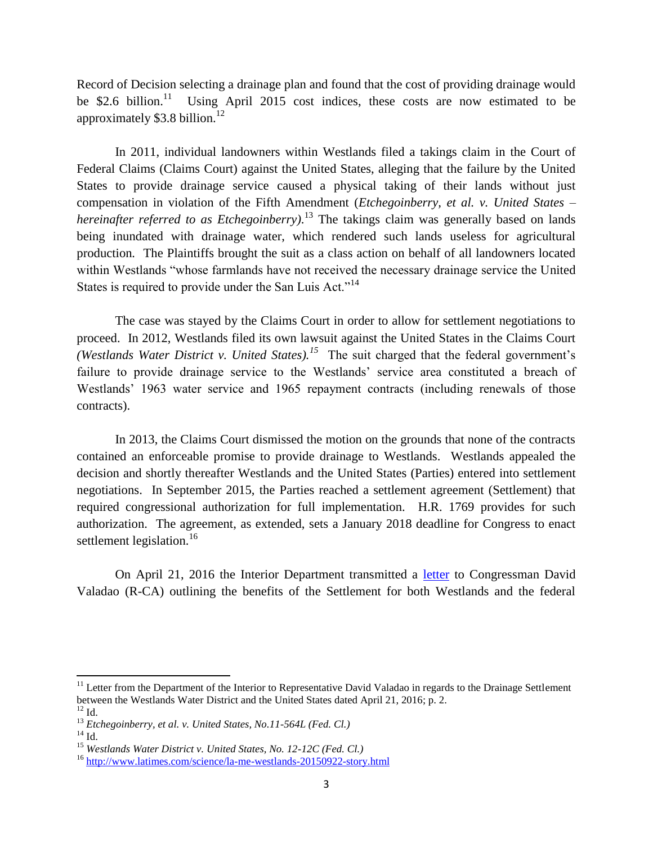Record of Decision selecting a drainage plan and found that the cost of providing drainage would be \$2.6 billion.<sup>11</sup> Using April 2015 cost indices, these costs are now estimated to be approximately  $$3.8$  billion.<sup>12</sup>

In 2011, individual landowners within Westlands filed a takings claim in the Court of Federal Claims (Claims Court) against the United States, alleging that the failure by the United States to provide drainage service caused a physical taking of their lands without just compensation in violation of the Fifth Amendment (*Etchegoinberry, et al. v. United States – hereinafter referred to as Etchegoinberry)*. <sup>13</sup> The takings claim was generally based on lands being inundated with drainage water, which rendered such lands useless for agricultural production*.* The Plaintiffs brought the suit as a class action on behalf of all landowners located within Westlands "whose farmlands have not received the necessary drainage service the United States is required to provide under the San Luis Act."<sup>14</sup>

The case was stayed by the Claims Court in order to allow for settlement negotiations to proceed. In 2012, Westlands filed its own lawsuit against the United States in the Claims Court *(Westlands Water District v. United States).<sup>15</sup>* The suit charged that the federal government's failure to provide drainage service to the Westlands' service area constituted a breach of Westlands' 1963 water service and 1965 repayment contracts (including renewals of those contracts).

In 2013, the Claims Court dismissed the motion on the grounds that none of the contracts contained an enforceable promise to provide drainage to Westlands. Westlands appealed the decision and shortly thereafter Westlands and the United States (Parties) entered into settlement negotiations. In September 2015, the Parties reached a settlement agreement (Settlement) that required congressional authorization for full implementation. H.R. 1769 provides for such authorization. The agreement, as extended, sets a January 2018 deadline for Congress to enact settlement legislation.<sup>16</sup>

On April 21, 2016 the Interior Department transmitted a [letter](http://naturalresources.house.gov/UploadedFiles/Signed_Valadao.pdf) to Congressman David Valadao (R-CA) outlining the benefits of the Settlement for both Westlands and the federal

 $\overline{\phantom{a}}$ 

 $11$  Letter from the Department of the Interior to Representative David Valadao in regards to the Drainage Settlement between the Westlands Water District and the United States dated April 21, 2016; p. 2.

 $^{12}$  Id.

<sup>13</sup> *Etchegoinberry, et al. v. United States, No.11-564L (Fed. Cl.)*

 $14$  Id.

<sup>15</sup> *Westlands Water District v. United States, No. 12-12C (Fed. Cl.)*

<sup>&</sup>lt;sup>16</sup> <http://www.latimes.com/science/la-me-westlands-20150922-story.html>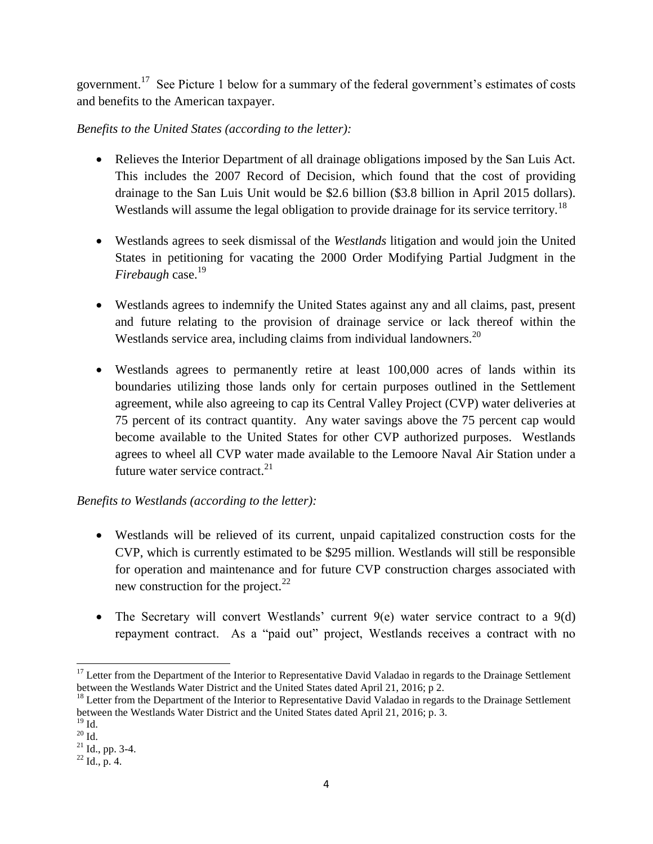government.<sup>17</sup> See Picture 1 below for a summary of the federal government's estimates of costs and benefits to the American taxpayer.

## *Benefits to the United States (according to the letter):*

- Relieves the Interior Department of all drainage obligations imposed by the San Luis Act. This includes the 2007 Record of Decision, which found that the cost of providing drainage to the San Luis Unit would be \$2.6 billion (\$3.8 billion in April 2015 dollars). Westlands will assume the legal obligation to provide drainage for its service territory.<sup>18</sup>
- Westlands agrees to seek dismissal of the *Westlands* litigation and would join the United States in petitioning for vacating the 2000 Order Modifying Partial Judgment in the *Firebaugh* case.<sup>19</sup>
- Westlands agrees to indemnify the United States against any and all claims, past, present and future relating to the provision of drainage service or lack thereof within the Westlands service area, including claims from individual landowners. $^{20}$
- Westlands agrees to permanently retire at least 100,000 acres of lands within its boundaries utilizing those lands only for certain purposes outlined in the Settlement agreement, while also agreeing to cap its Central Valley Project (CVP) water deliveries at 75 percent of its contract quantity. Any water savings above the 75 percent cap would become available to the United States for other CVP authorized purposes. Westlands agrees to wheel all CVP water made available to the Lemoore Naval Air Station under a future water service contract. $21$

## *Benefits to Westlands (according to the letter):*

- Westlands will be relieved of its current, unpaid capitalized construction costs for the CVP, which is currently estimated to be \$295 million. Westlands will still be responsible for operation and maintenance and for future CVP construction charges associated with new construction for the project. $^{22}$
- The Secretary will convert Westlands' current  $9(e)$  water service contract to a  $9(d)$ repayment contract. As a "paid out" project, Westlands receives a contract with no

 $\overline{a}$  $17$  Letter from the Department of the Interior to Representative David Valadao in regards to the Drainage Settlement between the Westlands Water District and the United States dated April 21, 2016; p 2.

<sup>&</sup>lt;sup>18</sup> Letter from the Department of the Interior to Representative David Valadao in regards to the Drainage Settlement between the Westlands Water District and the United States dated April 21, 2016; p. 3.

 $^{19}$  Id.  $^{20}$  Id.

 $^{21}$  Id., pp. 3-4.

 $^{22}$  Id., p. 4.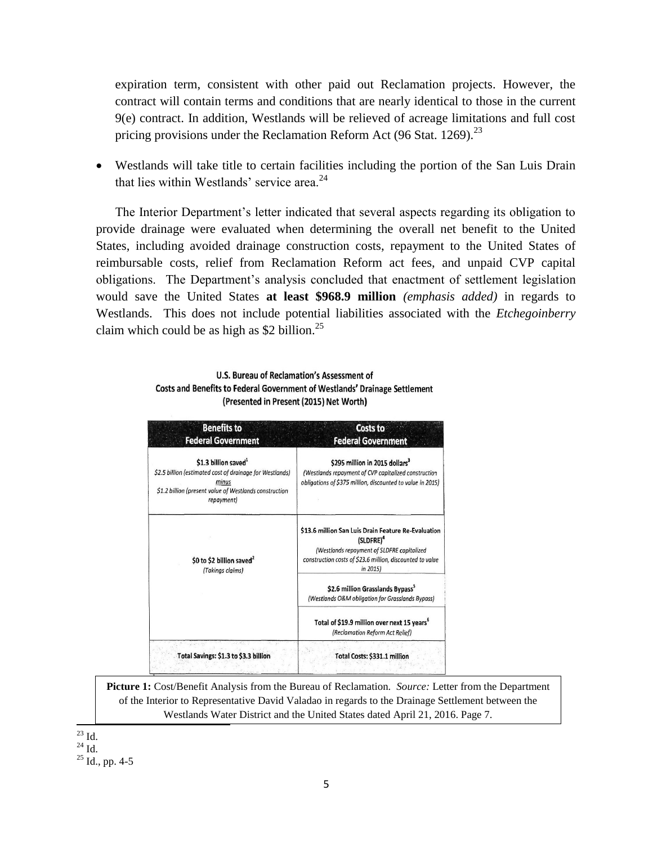expiration term, consistent with other paid out Reclamation projects. However, the contract will contain terms and conditions that are nearly identical to those in the current 9(e) contract. In addition, Westlands will be relieved of acreage limitations and full cost pricing provisions under the Reclamation Reform Act (96 Stat. 1269).<sup>23</sup>

 Westlands will take title to certain facilities including the portion of the San Luis Drain that lies within Westlands' service area. $24$ 

The Interior Department's letter indicated that several aspects regarding its obligation to provide drainage were evaluated when determining the overall net benefit to the United States, including avoided drainage construction costs, repayment to the United States of reimbursable costs, relief from Reclamation Reform act fees, and unpaid CVP capital obligations. The Department's analysis concluded that enactment of settlement legislation would save the United States **at least \$968.9 million** *(emphasis added)* in regards to Westlands. This does not include potential liabilities associated with the *Etchegoinberry*  claim which could be as high as \$2 billion. $^{25}$ 

| U.S. Bureau of Reclamation's Assessment of                                 |
|----------------------------------------------------------------------------|
| Costs and Benefits to Federal Government of Westlands' Drainage Settlement |
| (Presented in Present (2015) Net Worth)                                    |

| <b>Benefits to</b><br><b>Federal Government</b>                                                                                                                               | Costs to<br><b>Federal Government</b>                                                                                                                                                               |
|-------------------------------------------------------------------------------------------------------------------------------------------------------------------------------|-----------------------------------------------------------------------------------------------------------------------------------------------------------------------------------------------------|
| \$1.3 billion saved <sup>1</sup><br>\$2.5 billion (estimated cost of drainage for Westlands)<br>minus<br>\$1.2 billion (present value of Westlands construction<br>repayment) | \$295 million in 2015 dollars <sup>3</sup><br>(Westlands repayment of CVP capitalized construction<br>obligations of \$375 million, discounted to value in 2015)                                    |
| \$0 to \$2 billion saved <sup>2</sup><br>(Takings claims)                                                                                                                     | \$13.6 million San Luis Drain Feature Re-Evaluation<br>(SLDFRE) <sup>4</sup><br>(Westlands repayment of SLDFRE capitalized<br>construction costs of \$23.6 million, discounted to value<br>in 2015) |
|                                                                                                                                                                               | \$2.6 million Grasslands Bypass <sup>5</sup><br>(Westlands O&M obligation for Grasslands Bypass)                                                                                                    |
|                                                                                                                                                                               | Total of \$19.9 million over next 15 years <sup>6</sup><br>(Reclamation Reform Act Relief)                                                                                                          |
| Total Savings: \$1.3 to \$3.3 billion                                                                                                                                         | <b>Total Costs: \$331.1 million</b>                                                                                                                                                                 |

**Picture 1:** Cost/Benefit Analysis from the Bureau of Reclamation. *Source:* Letter from the Department of the Interior to Representative David Valadao in regards to the Drainage Settlement between the Westlands Water District and the United States dated April 21, 2016. Page 7.

 $\overline{\phantom{a}}$  $^{23}$  Id.

 $^{24}$  Id.

 $25$  Id., pp. 4-5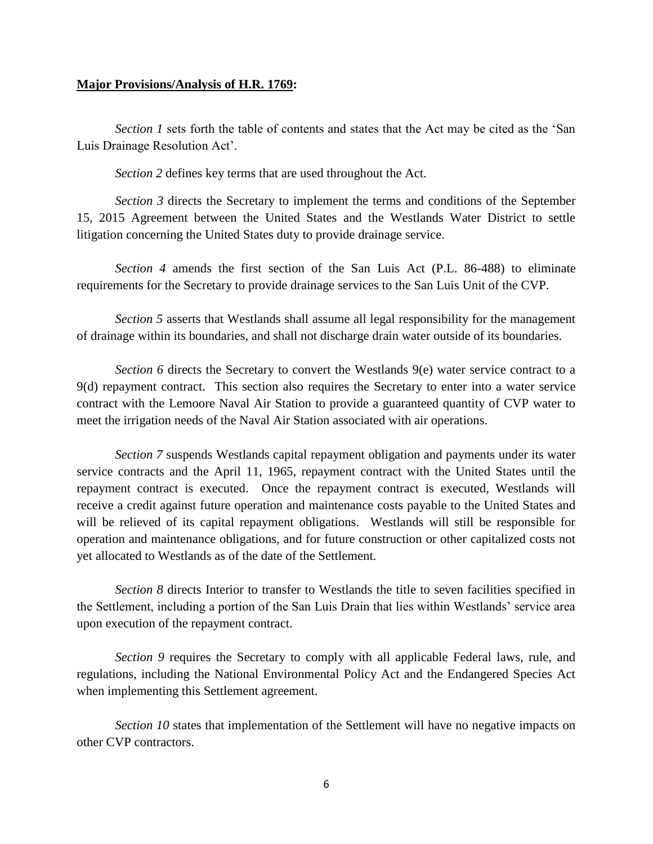#### **Major Provisions/Analysis of H.R. 1769:**

*Section 1* sets forth the table of contents and states that the Act may be cited as the 'San Luis Drainage Resolution Act'.

*Section 2* defines key terms that are used throughout the Act.

*Section 3* directs the Secretary to implement the terms and conditions of the September 15, 2015 Agreement between the United States and the Westlands Water District to settle litigation concerning the United States duty to provide drainage service.

*Section 4* amends the first section of the San Luis Act (P.L. 86-488) to eliminate requirements for the Secretary to provide drainage services to the San Luis Unit of the CVP.

*Section 5* asserts that Westlands shall assume all legal responsibility for the management of drainage within its boundaries, and shall not discharge drain water outside of its boundaries.

*Section 6* directs the Secretary to convert the Westlands 9(e) water service contract to a 9(d) repayment contract. This section also requires the Secretary to enter into a water service contract with the Lemoore Naval Air Station to provide a guaranteed quantity of CVP water to meet the irrigation needs of the Naval Air Station associated with air operations.

*Section 7* suspends Westlands capital repayment obligation and payments under its water service contracts and the April 11, 1965, repayment contract with the United States until the repayment contract is executed. Once the repayment contract is executed, Westlands will receive a credit against future operation and maintenance costs payable to the United States and will be relieved of its capital repayment obligations. Westlands will still be responsible for operation and maintenance obligations, and for future construction or other capitalized costs not yet allocated to Westlands as of the date of the Settlement.

*Section 8* directs Interior to transfer to Westlands the title to seven facilities specified in the Settlement, including a portion of the San Luis Drain that lies within Westlands' service area upon execution of the repayment contract.

*Section 9* requires the Secretary to comply with all applicable Federal laws, rule, and regulations, including the National Environmental Policy Act and the Endangered Species Act when implementing this Settlement agreement.

*Section 10* states that implementation of the Settlement will have no negative impacts on other CVP contractors.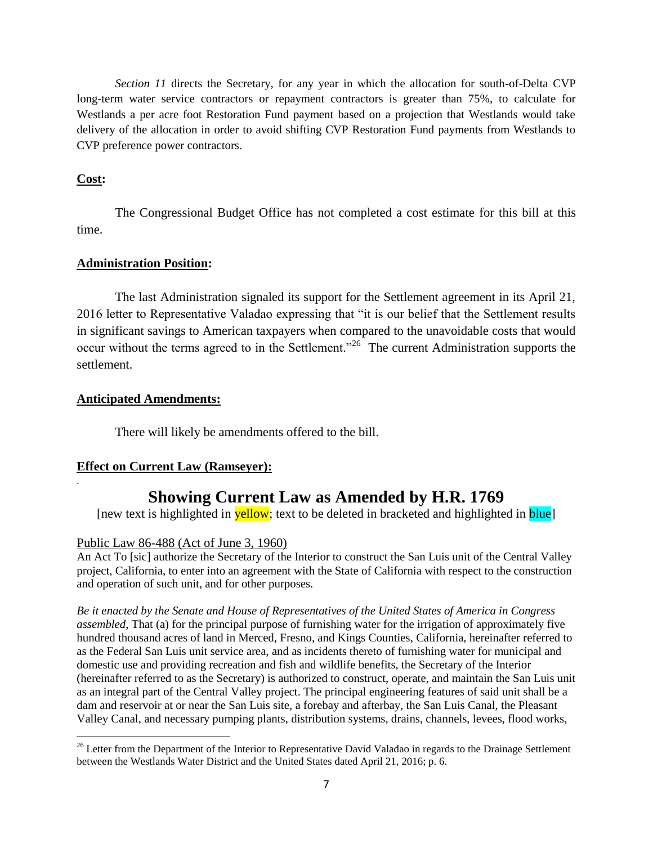*Section 11* directs the Secretary, for any year in which the allocation for south-of-Delta CVP long-term water service contractors or repayment contractors is greater than 75%, to calculate for Westlands a per acre foot Restoration Fund payment based on a projection that Westlands would take delivery of the allocation in order to avoid shifting CVP Restoration Fund payments from Westlands to CVP preference power contractors.

## **Cost:**

.

The Congressional Budget Office has not completed a cost estimate for this bill at this time.

## **Administration Position:**

The last Administration signaled its support for the Settlement agreement in its April 21, 2016 letter to Representative Valadao expressing that "it is our belief that the Settlement results in significant savings to American taxpayers when compared to the unavoidable costs that would occur without the terms agreed to in the Settlement."<sup>26</sup> The current Administration supports the settlement.

## **Anticipated Amendments:**

There will likely be amendments offered to the bill.

## **Effect on Current Law (Ramseyer):**

# **Showing Current Law as Amended by H.R. 1769**

[new text is highlighted in **yellow**; text to be deleted in bracketed and highlighted in **blue**]

## Public Law 86-488 (Act of June 3, 1960)

An Act To [sic] authorize the Secretary of the Interior to construct the San Luis unit of the Central Valley project, California, to enter into an agreement with the State of California with respect to the construction and operation of such unit, and for other purposes.

*Be it enacted by the Senate and House of Representatives of the United States of America in Congress assembled*, That (a) for the principal purpose of furnishing water for the irrigation of approximately five hundred thousand acres of land in Merced, Fresno, and Kings Counties, California, hereinafter referred to as the Federal San Luis unit service area, and as incidents thereto of furnishing water for municipal and domestic use and providing recreation and fish and wildlife benefits, the Secretary of the Interior (hereinafter referred to as the Secretary) is authorized to construct, operate, and maintain the San Luis unit as an integral part of the Central Valley project. The principal engineering features of said unit shall be a dam and reservoir at or near the San Luis site, a forebay and afterbay, the San Luis Canal, the Pleasant Valley Canal, and necessary pumping plants, distribution systems, drains, channels, levees, flood works,

 $\overline{\phantom{a}}$  $26$  Letter from the Department of the Interior to Representative David Valadao in regards to the Drainage Settlement between the Westlands Water District and the United States dated April 21, 2016; p. 6.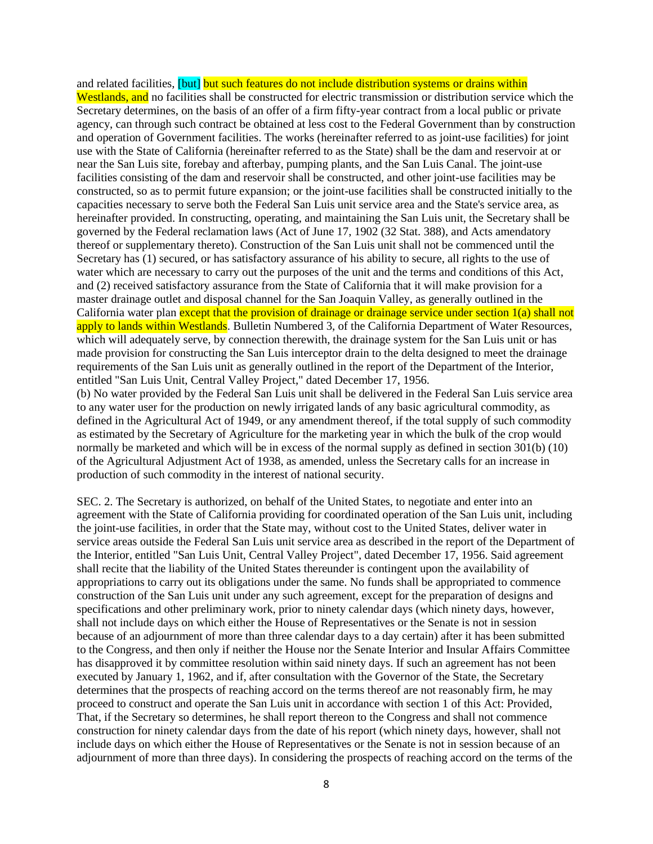and related facilities, [but] but such features do not include distribution systems or drains within Westlands, and no facilities shall be constructed for electric transmission or distribution service which the Secretary determines, on the basis of an offer of a firm fifty-year contract from a local public or private agency, can through such contract be obtained at less cost to the Federal Government than by construction and operation of Government facilities. The works (hereinafter referred to as joint-use facilities) for joint use with the State of California (hereinafter referred to as the State) shall be the dam and reservoir at or near the San Luis site, forebay and afterbay, pumping plants, and the San Luis Canal. The joint-use facilities consisting of the dam and reservoir shall be constructed, and other joint-use facilities may be constructed, so as to permit future expansion; or the joint-use facilities shall be constructed initially to the capacities necessary to serve both the Federal San Luis unit service area and the State's service area, as hereinafter provided. In constructing, operating, and maintaining the San Luis unit, the Secretary shall be governed by the Federal reclamation laws (Act of June 17, 1902 (32 Stat. 388), and Acts amendatory thereof or supplementary thereto). Construction of the San Luis unit shall not be commenced until the Secretary has (1) secured, or has satisfactory assurance of his ability to secure, all rights to the use of water which are necessary to carry out the purposes of the unit and the terms and conditions of this Act, and (2) received satisfactory assurance from the State of California that it will make provision for a master drainage outlet and disposal channel for the San Joaquin Valley, as generally outlined in the California water plan except that the provision of drainage or drainage service under section 1(a) shall not apply to lands within Westlands. Bulletin Numbered 3, of the California Department of Water Resources, which will adequately serve, by connection therewith, the drainage system for the San Luis unit or has made provision for constructing the San Luis interceptor drain to the delta designed to meet the drainage requirements of the San Luis unit as generally outlined in the report of the Department of the Interior, entitled "San Luis Unit, Central Valley Project," dated December 17, 1956.

(b) No water provided by the Federal San Luis unit shall be delivered in the Federal San Luis service area to any water user for the production on newly irrigated lands of any basic agricultural commodity, as defined in the Agricultural Act of 1949, or any amendment thereof, if the total supply of such commodity as estimated by the Secretary of Agriculture for the marketing year in which the bulk of the crop would normally be marketed and which will be in excess of the normal supply as defined in section 301(b) (10) of the Agricultural Adjustment Act of 1938, as amended, unless the Secretary calls for an increase in production of such commodity in the interest of national security.

SEC. 2. The Secretary is authorized, on behalf of the United States, to negotiate and enter into an agreement with the State of California providing for coordinated operation of the San Luis unit, including the joint-use facilities, in order that the State may, without cost to the United States, deliver water in service areas outside the Federal San Luis unit service area as described in the report of the Department of the Interior, entitled "San Luis Unit, Central Valley Project", dated December 17, 1956. Said agreement shall recite that the liability of the United States thereunder is contingent upon the availability of appropriations to carry out its obligations under the same. No funds shall be appropriated to commence construction of the San Luis unit under any such agreement, except for the preparation of designs and specifications and other preliminary work, prior to ninety calendar days (which ninety days, however, shall not include days on which either the House of Representatives or the Senate is not in session because of an adjournment of more than three calendar days to a day certain) after it has been submitted to the Congress, and then only if neither the House nor the Senate Interior and Insular Affairs Committee has disapproved it by committee resolution within said ninety days. If such an agreement has not been executed by January 1, 1962, and if, after consultation with the Governor of the State, the Secretary determines that the prospects of reaching accord on the terms thereof are not reasonably firm, he may proceed to construct and operate the San Luis unit in accordance with section 1 of this Act: Provided, That, if the Secretary so determines, he shall report thereon to the Congress and shall not commence construction for ninety calendar days from the date of his report (which ninety days, however, shall not include days on which either the House of Representatives or the Senate is not in session because of an adjournment of more than three days). In considering the prospects of reaching accord on the terms of the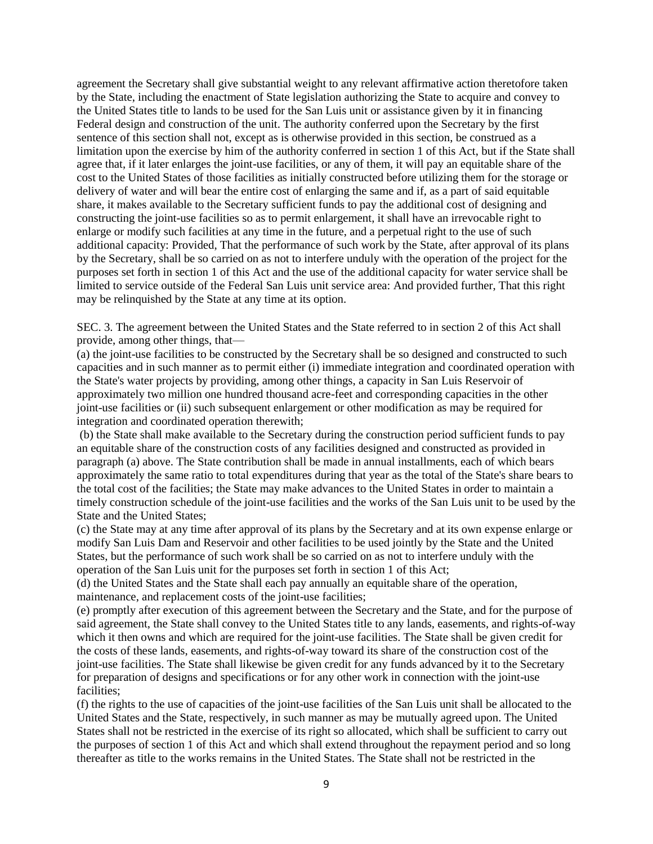agreement the Secretary shall give substantial weight to any relevant affirmative action theretofore taken by the State, including the enactment of State legislation authorizing the State to acquire and convey to the United States title to lands to be used for the San Luis unit or assistance given by it in financing Federal design and construction of the unit. The authority conferred upon the Secretary by the first sentence of this section shall not, except as is otherwise provided in this section, be construed as a limitation upon the exercise by him of the authority conferred in section 1 of this Act, but if the State shall agree that, if it later enlarges the joint-use facilities, or any of them, it will pay an equitable share of the cost to the United States of those facilities as initially constructed before utilizing them for the storage or delivery of water and will bear the entire cost of enlarging the same and if, as a part of said equitable share, it makes available to the Secretary sufficient funds to pay the additional cost of designing and constructing the joint-use facilities so as to permit enlargement, it shall have an irrevocable right to enlarge or modify such facilities at any time in the future, and a perpetual right to the use of such additional capacity: Provided, That the performance of such work by the State, after approval of its plans by the Secretary, shall be so carried on as not to interfere unduly with the operation of the project for the purposes set forth in section 1 of this Act and the use of the additional capacity for water service shall be limited to service outside of the Federal San Luis unit service area: And provided further, That this right may be relinquished by the State at any time at its option.

SEC. 3. The agreement between the United States and the State referred to in section 2 of this Act shall provide, among other things, that—

(a) the joint-use facilities to be constructed by the Secretary shall be so designed and constructed to such capacities and in such manner as to permit either (i) immediate integration and coordinated operation with the State's water projects by providing, among other things, a capacity in San Luis Reservoir of approximately two million one hundred thousand acre-feet and corresponding capacities in the other joint-use facilities or (ii) such subsequent enlargement or other modification as may be required for integration and coordinated operation therewith;

(b) the State shall make available to the Secretary during the construction period sufficient funds to pay an equitable share of the construction costs of any facilities designed and constructed as provided in paragraph (a) above. The State contribution shall be made in annual installments, each of which bears approximately the same ratio to total expenditures during that year as the total of the State's share bears to the total cost of the facilities; the State may make advances to the United States in order to maintain a timely construction schedule of the joint-use facilities and the works of the San Luis unit to be used by the State and the United States;

(c) the State may at any time after approval of its plans by the Secretary and at its own expense enlarge or modify San Luis Dam and Reservoir and other facilities to be used jointly by the State and the United States, but the performance of such work shall be so carried on as not to interfere unduly with the operation of the San Luis unit for the purposes set forth in section 1 of this Act;

(d) the United States and the State shall each pay annually an equitable share of the operation, maintenance, and replacement costs of the joint-use facilities;

(e) promptly after execution of this agreement between the Secretary and the State, and for the purpose of said agreement, the State shall convey to the United States title to any lands, easements, and rights-of-way which it then owns and which are required for the joint-use facilities. The State shall be given credit for the costs of these lands, easements, and rights-of-way toward its share of the construction cost of the joint-use facilities. The State shall likewise be given credit for any funds advanced by it to the Secretary for preparation of designs and specifications or for any other work in connection with the joint-use facilities;

(f) the rights to the use of capacities of the joint-use facilities of the San Luis unit shall be allocated to the United States and the State, respectively, in such manner as may be mutually agreed upon. The United States shall not be restricted in the exercise of its right so allocated, which shall be sufficient to carry out the purposes of section 1 of this Act and which shall extend throughout the repayment period and so long thereafter as title to the works remains in the United States. The State shall not be restricted in the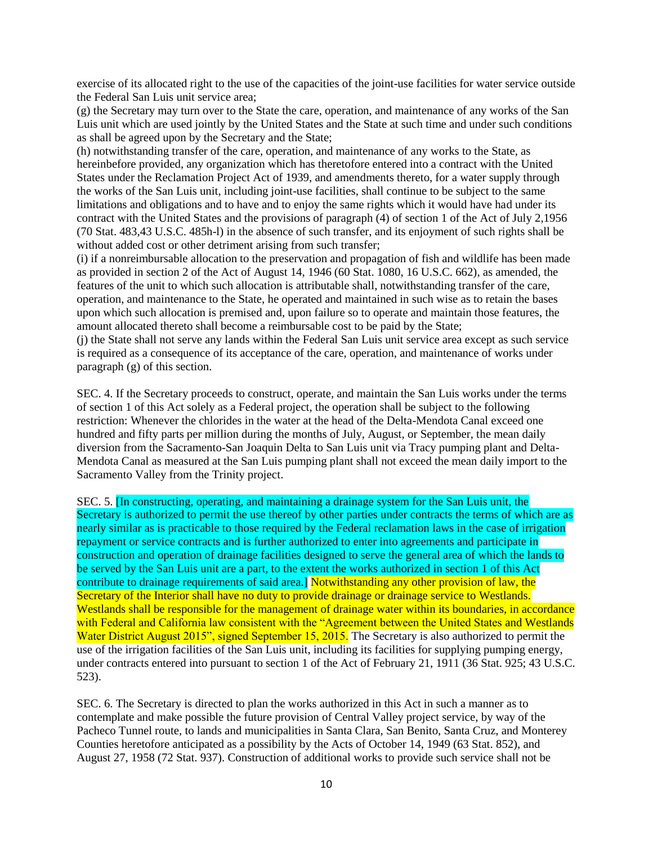exercise of its allocated right to the use of the capacities of the joint-use facilities for water service outside the Federal San Luis unit service area;

(g) the Secretary may turn over to the State the care, operation, and maintenance of any works of the San Luis unit which are used jointly by the United States and the State at such time and under such conditions as shall be agreed upon by the Secretary and the State;

(h) notwithstanding transfer of the care, operation, and maintenance of any works to the State, as hereinbefore provided, any organization which has theretofore entered into a contract with the United States under the Reclamation Project Act of 1939, and amendments thereto, for a water supply through the works of the San Luis unit, including joint-use facilities, shall continue to be subject to the same limitations and obligations and to have and to enjoy the same rights which it would have had under its contract with the United States and the provisions of paragraph (4) of section 1 of the Act of July 2,1956 (70 Stat. 483,43 U.S.C. 485h-l) in the absence of such transfer, and its enjoyment of such rights shall be without added cost or other detriment arising from such transfer;

(i) if a nonreimbursable allocation to the preservation and propagation of fish and wildlife has been made as provided in section 2 of the Act of August 14, 1946 (60 Stat. 1080, 16 U.S.C. 662), as amended, the features of the unit to which such allocation is attributable shall, notwithstanding transfer of the care, operation, and maintenance to the State, he operated and maintained in such wise as to retain the bases upon which such allocation is premised and, upon failure so to operate and maintain those features, the amount allocated thereto shall become a reimbursable cost to be paid by the State;

(j) the State shall not serve any lands within the Federal San Luis unit service area except as such service is required as a consequence of its acceptance of the care, operation, and maintenance of works under paragraph (g) of this section.

SEC. 4. If the Secretary proceeds to construct, operate, and maintain the San Luis works under the terms of section 1 of this Act solely as a Federal project, the operation shall be subject to the following restriction: Whenever the chlorides in the water at the head of the Delta-Mendota Canal exceed one hundred and fifty parts per million during the months of July, August, or September, the mean daily diversion from the Sacramento-San Joaquin Delta to San Luis unit via Tracy pumping plant and Delta-Mendota Canal as measured at the San Luis pumping plant shall not exceed the mean daily import to the Sacramento Valley from the Trinity project.

SEC. 5. [In constructing, operating, and maintaining a drainage system for the San Luis unit, the Secretary is authorized to permit the use thereof by other parties under contracts the terms of which are as nearly similar as is practicable to those required by the Federal reclamation laws in the case of irrigation repayment or service contracts and is further authorized to enter into agreements and participate in construction and operation of drainage facilities designed to serve the general area of which the lands to be served by the San Luis unit are a part, to the extent the works authorized in section 1 of this Act contribute to drainage requirements of said area.] Notwithstanding any other provision of law, the Secretary of the Interior shall have no duty to provide drainage or drainage service to Westlands. Westlands shall be responsible for the management of drainage water within its boundaries, in accordance with Federal and California law consistent with the "Agreement between the United States and Westlands" Water District August 2015", signed September 15, 2015. The Secretary is also authorized to permit the use of the irrigation facilities of the San Luis unit, including its facilities for supplying pumping energy, under contracts entered into pursuant to section 1 of the Act of February 21, 1911 (36 Stat. 925; 43 U.S.C. 523).

SEC. 6. The Secretary is directed to plan the works authorized in this Act in such a manner as to contemplate and make possible the future provision of Central Valley project service, by way of the Pacheco Tunnel route, to lands and municipalities in Santa Clara, San Benito, Santa Cruz, and Monterey Counties heretofore anticipated as a possibility by the Acts of October 14, 1949 (63 Stat. 852), and August 27, 1958 (72 Stat. 937). Construction of additional works to provide such service shall not be